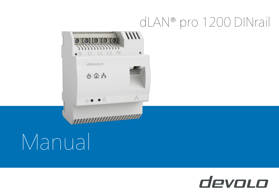## dLAN® pro 1200 DINrail



# Manual

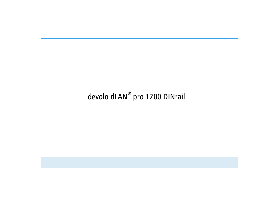## devolo dLAN® pro 1200 DINrail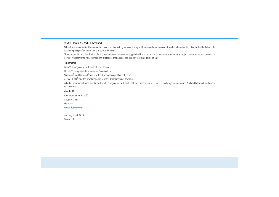#### © 2018 devolo AG Aachen (Germany)

While the information in this manual has been compiled with great care, it may not be deemed an assurance of product characteristics. devolo shall be liable only to the degree specified in the terms of sale and delivery.

The reproduction and distribution of the documentation and software supplied with this product and the use of its contents is subject to written authorization from devolo. We reserve the right to make any alterations that arise as the result of technical development.

#### Trademarks

Linux® is a registered trademark of Linus Torvalds.

Ubuntu®is a registered trademark of Canonical Ltd.

Windows<sup>®</sup> and Microsoft<sup>®</sup> are registered trademarks of Microsoft, Corp.

devolo, dLAN® and the devolo logo are registered trademarks of devolo AG.

All other names mentioned may be trademarks or registered trademarks of their respective owners. Subject to change without notice. No liability for technical errors or omissions.

#### devolo AG

Charlottenburger Allee 67 52068 Aachen

Germany

**<www.devolo.com>**

Aachen, March 2018 Version: 1.1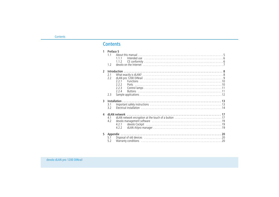## **Contents**

| $\mathbf{1}$  | Preface 5<br>1.1<br>1.2 | 111<br>1.1.2                                   |
|---------------|-------------------------|------------------------------------------------|
| $\mathcal{L}$ | 2.1<br>2.2<br>2.3       | 2.2.1<br>222<br><b>Ports</b><br>7.7.3<br>2.2.4 |
| 3             | 3.1<br>3.2              |                                                |
| 4             | 4.1<br>4.2              | 4.2.1<br>4.2.2                                 |
| 5.            | 5.1<br>5.2              |                                                |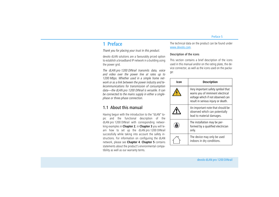## <span id="page-4-0"></span>1 Preface

*Thank you for placing your trust in this product.*

devolo dLAN solutions are a favourably priced option to establish a broadband IP network in a building using the power grid.

*The dLAN pro 1200 DINrail transmits data, voice and video over the power line at rates up to 1200 Mbps. Whether used in a simple home network or as a link between the power industry and telecommunications for transmission of consumption data—the dLAN pro 1200 DINrail is versatile. It can be connected to the mains supply in either a singlephase or three-phase connection.* 

## <span id="page-4-1"></span>1.1 About this manual

Having begun with the introduction to the "dLAN" topic and the functional description of the dLAN pro 1200 DINrail with corresponding networking examples in **Chapter 2**, in **Chapter 3** you will learn how to set up the dLAN pro 1200 DINrail successfully while taking into account the safety instructions. For information on configuring the dLAN network, please see **Chapter 4**. **Chapter 5** contains statements about the product's environmental compatibility as well as our warranty terms.

The technical data on the product can be found under [www.devolo.com](https://www.devolo.com/).

#### Description of the icons

This section contains a brief description of the icons used in this manual and/or on the rating plate, the device connector, as well as the icons used on the package:

| Icon | <b>Description</b>                                                                                                                               |
|------|--------------------------------------------------------------------------------------------------------------------------------------------------|
|      | Very important safety symbol that<br>warns you of imminent electrical<br>voltage which if not observed can<br>result in serious injury or death. |
|      | An important note that should be<br>observed which can potentially<br>lead to material damages.                                                  |
|      | The installation may be per-<br>formed by a qualified electrician<br>only.                                                                       |
|      | The device may only be used<br>indoors in dry conditions.                                                                                        |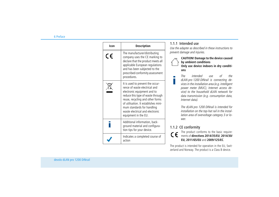| Icon | <b>Description</b>                                                                                                                                                                                                                                                                                         |
|------|------------------------------------------------------------------------------------------------------------------------------------------------------------------------------------------------------------------------------------------------------------------------------------------------------------|
| CE   | The manufacturer/distributing<br>company uses the CE marking to<br>declare that the product meets all<br>applicable European regulations<br>and has been subjected to the<br>prescribed conformity assessment<br>procedures.                                                                               |
|      | It is used to prevent the occur-<br>rence of waste electrical and<br>electronic equipment and to<br>reduce this type of waste through<br>reuse, recycling and other forms<br>of utilisation. It establishes mini-<br>mum standards for handling<br>waste electrical and electronic<br>equipment in the EU. |
|      | Additional information, back-<br>ground material and configura-<br>tion tips for your device.                                                                                                                                                                                                              |
|      | Indicates a completed course of<br>action                                                                                                                                                                                                                                                                  |

### <span id="page-5-0"></span>1.1.1 Intended use

*Use the adapter as described in these instructions to prevent damage and injuries.*

> **CAUTION! Damage to the device caused by ambient conditions Only use device indoors in dry conditions**

*The intended use of the dLAN pro 1200 DINrail is connecting devices in the installation area (e.g. intelligent power meter (MUC), Internet access device) to the household dLAN network for data transmission (e.g. consumption data, Internet data).* 

*The dLAN pro 1200 DINrail is intended for installation on the top-hat rail in the installation area of overvoltage category 3 or lower.* 

## <span id="page-5-2"></span><span id="page-5-1"></span>1.1.2 CE conformity

The product conforms to the basic requirements of **directives 2014/35/EU**, **2014/30/ EU, 2011/65/EU** and **2009/125/EC**.

The product is intended for operation in the EU, Switzerland and Norway. The product is a Class B device.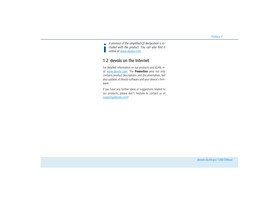*A printout of the simplified CE declaration is included with the product. You can also find it online at* [www.devolo.com](https://www.devolo.com/)*.*

## <span id="page-6-0"></span>1.2 devolo on the Internet

For detailed information on our products and dLAN, visit [www.devolo.com](https://www.devolo.com/). The **Powerline** area not only contains product descriptions and documentation, but also updates of devolo software and your device's firmware.

If you have any further ideas or suggestions related to our products, please don't hesitate to contact us at support@devolo.com!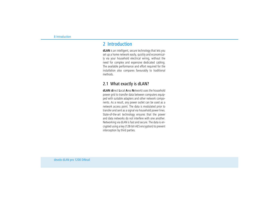## <span id="page-7-0"></span>2 Introduction

<span id="page-7-2"></span>**dLAN** is an intelligent, secure technology that lets you set up a home network easily, quickly and economically via your household electrical wiring, without the need for complex and expensive dedicated cabling. The available performance and effort required for the installation also compares favourably to traditional methods.

## <span id="page-7-1"></span>2.1 What exactly is dLAN?

**dLAN** (**d**irect **L**ocal **A**rea **N**etwork) uses the household power grid to transfer data between computers equipped with suitable adapters and other network components. As a result, any power outlet can be used as a network access point. The data is modulated prior to transfer and sent as a signal via household power lines. State-of-the-art technology ensures that the power and data networks do not interfere with one another. Networking via dLAN is fast and secure. The data is encrypted using a key (128-bit-AES encryption) to prevent interception by third parties.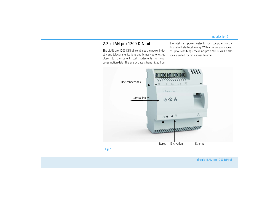## <span id="page-8-0"></span>2.2 dLAN pro 1200 DINrail

The dLAN pro 1200 DINrail combines the power industry and telecommunications and brings you one step closer to transparent cost statements for your consumption data. The energy data is transmitted from the intelligent power meter to your computer via the household electrical wiring. With a transmission speed of up to 1200 Mbps, the dLAN pro 1200 DINrail is also ideally suited for high-speed Internet.

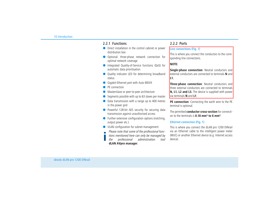#### <span id="page-9-0"></span>2.2.1 Functions

- **O** Direct installation in the control cabinet or power distribution box
- Optional: three-phase network connection for optimal network coverage
- Integrated Quality-of-Service functions (QoS) for automatic data prioritisation
- $\bullet$  Quality indicator LED for determining broadband status
- <span id="page-9-7"></span><span id="page-9-4"></span>**Gigabit-Ethernet port with Auto MDI/X**
- $\bullet$ PE connection
- $\bullet$ Master/slave or peer-to-peer architecture
- $\bullet$ Segments possible with up to 63 slaves per master
- Data transmission with a range up to 400 metres in the power grid
- Powerful 128-bit AES security for securing data transmission against unauthorised access
- **•** Further extensive configuration options (notching, output power etc.)
- **O** VLAN configuration for subnet management
- *Please note that some of the professional func-*
- *tions mentioned here can only be managed by*
- *the professional administration tool* **dLAN AVpro manager***.*

## <span id="page-9-1"></span>2.2.2 Ports

#### <span id="page-9-5"></span>Line connections (Fig. 1)

This is where you connect the conductors to the corresponding line connections.

#### <span id="page-9-9"></span>**NOTE:**

<span id="page-9-10"></span>**Single-phase connection**: Neutral conductors and external conductors are connected to terminals **N** and **L1.**

<span id="page-9-11"></span><span id="page-9-6"></span>**Three-phase connection**: Neutral conductors and three external conductors are connected to terminals **N, L1, L2 and L3.** The device is supplied with power via terminals **N** and **L1**.

<span id="page-9-8"></span><span id="page-9-3"></span>**PE connection**: Connecting the earth wire to the PE terminal is optional.

<span id="page-9-2"></span>The permitted **conductor cross-section** for connection to the terminals is **0.18 mm² to 6 mm²**.

#### Ethernet connection (Fig. 1)

This is where you connect the dLAN pro 1200 DINrail via an Ethernet cable to the intelligent power meter (MUC) or another Ethernet device (e.g. Internet access device).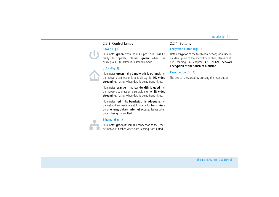## <span id="page-10-0"></span>2.2.3 Control lamps

#### Power (Fig.1)

Illuminates **green** when the dLAN pro 1200 DINrail is ready to operate; flashes **green** when the dLAN pro 1200 DINrail is in standby mode.

#### dLAN (Fig. 1)

Illuminates **green** if the **bandwidth is optimal**, i.e. the network connection is suitable e.g. for **HD video streaming**; flashes when data is being transmitted.

Illuminates **orange** if the **bandwidth is good**, i.e. the network connection is suitable e.g. for **SD video streaming**; flashes when data is being transmitted.

Illuminates **red** if the **bandwidth is adequate**, i.e. the network connection is still suitable for **transmission of energy data** or **Internet access**; flashes when data is being transmitted.

#### Ethernet (Fig. 1)

Illuminates **green** if there is a connection to the Ethernet network; flashes when data is being transmitted.

#### <span id="page-10-1"></span>2.2.4 Buttons

#### <span id="page-10-2"></span>Encryption button (Fig. 1)

Data encryption at the touch of a button; for a functional description of the encryption button, please continue reading in chapter **[4.1 dLAN network](#page-16-2) [encryption at the touch of a button](#page-16-2)**.

#### <span id="page-10-3"></span>Reset button (Fig. 1)

The device is restarted by pressing the reset button.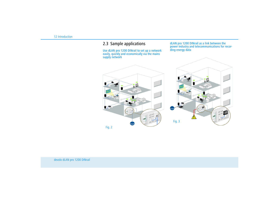## <span id="page-11-0"></span>2.3 Sample applications

Use dLAN pro 1200 DINrail to set up a network easily, quickly and economically via the mains supply network

dLAN pro 1200 DINrail as a link between the power industry and telecommunications for recording energy data



Fig. 2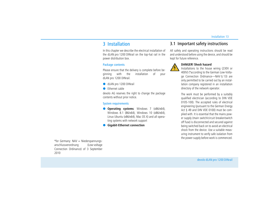## <span id="page-12-0"></span>3 Installation

In this chapter we describe the electrical installation of the dLAN pro 1200 DINrail on the top-hat rail in the power distribution box.

#### <span id="page-12-3"></span>Package contents

Please ensure that the delivery is complete before beginning with the installation of your dLAN pro 1200 DINrail.

- **In dLAN pro 1200 DINrail**
- **•** Ethernet cable

devolo AG reserves the right to change the package contents without prior notice.

#### <span id="page-12-5"></span>System requirements

- **Operating systems**: Windows 7 (x86/x64), Windows 8.1 (86/x64), Windows 10 (x86/x64), Linux Ubuntu (x86/x64), Mac OS X) and all operating systems with network support
- <span id="page-12-2"></span> $\bullet$ **Gigabit-Ethernet connection**

## <span id="page-12-4"></span><span id="page-12-1"></span>3.1 Important safety instructions

All safety and operating instructions should be read and understood before using the device, and should be kept for future reference.



#### **DANGER! Shock hazard**

Installations to the house wiring (230V or 400V) (\*according to the German Low-Voltage Connection Ordinance—NAV § 13) are only permitted to be carried out by an installation company registered in an installation directory of the network operator.

The work must be performed by a suitably qualified electrician (according to DIN VDE 0105-100). The accepted rules of electrical engineering (pursuant to the German Energy Act § 49 and DIN VDE 0100) must be complied with. It is essential that the mains power supply (main switch/circuit breaker/switch off fuse) is disconnected and secured against being switched back on to avoid an electrical shock from the device. Use a suitable measuring instrument to verify safe isolation from the power supply before work is commenced.

\*for Germany: NAV = Niederspannungsanschlussverordnung (Low-voltage Connection Ordinance) of 3 September 2010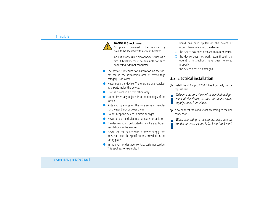

#### **DANGER! Shock hazard**

Components powered by the mains supply have to be secured with a circuit breaker.

An easily accessible disconnecter (such as a circuit breaker) must be available for each connected external conductor.

- $\bullet$  The device is intended for installation on the tophat rail in the installation area of overvoltage category 3 or lower.
- Never open the device. There are no user-serviceable parts inside the device.
- **Use the device in a dry location only.**
- $\bullet$  Do not insert any objects into the openings of the device.
- Slots and openings on the case serve as ventilation. Never block or cover them.
- $\bullet$ Do not keep the device in direct sunlight.
- $\bullet$ Never set up the device near a heater or radiator.
- $\bullet$  The device should be located only where sufficient ventilation can be ensured.
- Never use the device with a power supply that does not meet the specifications provided on the rating plate.
- In the event of damage, contact customer service. This applies, for example, if
- <span id="page-13-1"></span> $\bigcirc$  liquid has been spilled on the device or objects have fallen into the device.
- the device has been exposed to rain or water.
- the device does not work, even though the operating instructions have been followed properly.
- $\circ$  the device's case is damaged.

## <span id="page-13-0"></span>3.2 Electrical installation

- Install the dLAN pro 1200 DINrail properly on the top-hat rail.
- <span id="page-13-2"></span>*Take into account the vertical installation alignment of the device, so that the mains power supply comes from above.*
- Now connect the conductors according to the line connections.
	- *When connecting to the sockets, make sure the conductor cross-section is 0.18 mm² to 6 mm².*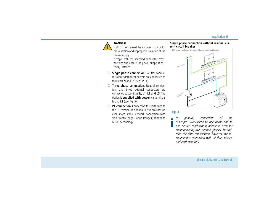

#### **DANGER!**

Risk of fire caused by incorrect conductor cross-section and improper installation of the power supply

Comply with the specified conductor crosssections and ensure the power supply is correctly installed

- <span id="page-14-4"></span> **Single-phase connection**: Neutral conductors and external conductors are connected to terminals **N** and **L1** (see Fig. 4).
- <span id="page-14-6"></span><span id="page-14-5"></span><span id="page-14-2"></span><span id="page-14-1"></span> **Three-phase connection**: Neutral conductors and three external conductors are connected to terminals **N, L1, L2 and L3**. The device is **supplied with power** via terminals **N** and **L1** (see Fig. 5).
- <span id="page-14-3"></span>**PE connection**: Connecting the earth wire to the PE terminal is optional but it provides an even more stable network connection with significantly longer range (range+) thanks to MIMO technology.





#### <span id="page-14-0"></span>Fig. 4

*In general, connection of the dLAN pro 1200 DINrail to one phase and to one neutral conductor is adequate, even for communicating over multiple phases. To optimise the data transmission, however, we recommend a connection with all three-phases and earth wire (PE).*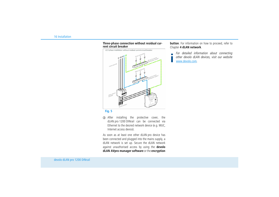#### <span id="page-15-0"></span>**Three-phase connection without residual current circuit breaker**



**Fig. 5**

 After installing the protective cover, the dLAN pro 1200 DINrail can be connected via Ethernet to the desired network device (e.g. MUC, Internet access device).

As soon as at least one other dLAN pro device has been connected and plugged into the mains supply, a dLAN network is set up. Secure the dLAN network against unauthorised access by using the **devolo dLAN AVpro manager software** or the **encryption** **button**. For information on how to proceed, refer to Chapter **[4 dLAN network](#page-16-3)**.

*For detailed information about connecting other devolo dLAN devices, visit our website* [www.devolo.com](https://www.devolo.com/)*.*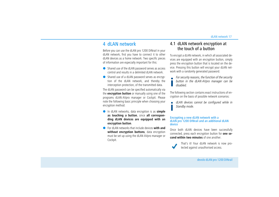## <span id="page-16-3"></span><span id="page-16-0"></span>4 dLAN network

Before you can use the dLAN pro 1200 DINrail in your dLAN network, first you have to connect it to other dLAN devices as a home network. Two specific pieces of information are especially important for this:

- Shared use of the dLAN password serves as access control and results in a delimited dLAN network.
- Shared use of a dLAN password serves as encryption of the dLAN network, and thereby the interception protection, of the transmitted data.

The dLAN password can be specified automatically via the **encryption button** or manually using one of the programs dLAN AVpro manager or Cockpit. Please note the following basic principle when choosing your encryption method:

- <span id="page-16-4"></span>- In dLAN networks, data encryption is as **simple as touching a button**, since **all corresponding dLAN devices are equipped with an encryption button**.
- For dLAN networks that include devices **with and without encryption buttons**, data encryption must be set up using the dLAN AVpro manager or Cockpit.

## <span id="page-16-2"></span><span id="page-16-1"></span>4.1 dLAN network encryption at the touch of a button

<span id="page-16-5"></span>To encrypt a dLAN network, in which all associated devices are equipped with an encryption button, simply press the encryption button that is located on the device. Pressing this button will encrypt your dLAN network with a randomly generated password.

*For security reasons, the function of the security button in the dLAN AVpro manager can be disabled.* 

The following section contains exact instructions of encryption on the basis of possible network scenarios:

*dLAN devices cannot be configured while in Standby mode.*

#### Encrypting a new dLAN network with a dLAN pro 1200 DINrail and an additional dLAN device

Once both dLAN devices have been successfully connected, press each encryption button for **one second within two minutes** of one another.



That's it! Your dLAN network is now protected against unauthorised access.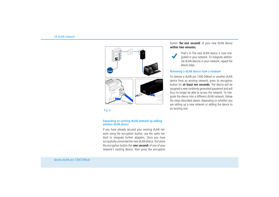

#### Expanding an existing dLAN network by adding another dl AN device

If you have already secured your existing dLAN network using the encryption button, use the same method to integrate further adapters. Once you have successfully connected the new dLAN device, first press the encryption button (for **one second**) of one of your network's existing device, then press the encryption button (**for one second**) of your new dLAN device **within two minutes**.

That's it! The new dLAN device is now integrated in your network. To integrate additional dLAN devices in your network, repeat the above steps.

#### Removing a dLAN device from a network

To remove a dLAN pro 1200 DINrail or another dLAN device from an existing network, press its encryption button for **at least ten seconds**. The device will be assigned a new randomly generated password and will thus no longer be able to access the network. To integrate the device into a different dLAN network, follow the steps described above, depending on whether you are setting up a new network or adding the device to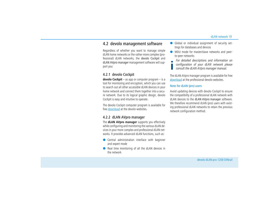### <span id="page-18-0"></span>4.2 devolo management software

Regardless of whether you want to manage simple dLAN home networks or the rather more complex (professional) dLAN networks, the devolo Cockpit and dLAN AVpro manager management software will support you:

#### <span id="page-18-3"></span><span id="page-18-1"></span>4.2.1 devolo Cockpit

**devolo Cockpit** – as app or computer program – is a tool for monitoring and encryption, which you can use to search out all other accessible dLAN devices in your home network and connect them together into a secure network. Due to its logical graphic design, devolo Cockpit is easy and intuitive to operate.

The devolo Cockpit computer program is available for free [download](https://www.devolo.com/en/Business-Solutions/Software/dLAN-AVpro-Manager) at the devolo websites.

#### <span id="page-18-4"></span><span id="page-18-2"></span>4.2.2 dLAN AVpro manager

The **dLAN AVpro manager** supports you effectively while configuring and monitoring the various dLAN devices in your more complex and professional dLAN networks. It provides advanced dLAN functions, such as:

- **Central administration interface with beginner** and expert mode
- Real time monitoring of all the dLAN devices in the network
- $\bullet$  Global or individual assignment of security settings for databases and devices
- $\bullet$  MDU mode for master/slave networks and peerto-peer networks
	- *For detailed descriptions and information on configuration of your dLAN network please consult the dLAN AVpro manager manual.*

The dLAN AVpro manager program is available for free [download](https://www.devolo.com/en/Business-Solutions/Software/dLAN-AVpro-Manager) at the professional devolo websites.

#### Note for dLAN (pro) users

Avoid updating devices with devolo Cockpit to ensure the compatibility of a professional dLAN network with dLAN devices to the dLAN AVpro manager software. We therefore recommend dLAN (pro) users with existing professional dLAN networks to retain the previous network configuration method.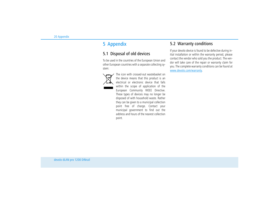## <span id="page-19-0"></span>5 Appendix

## <span id="page-19-3"></span><span id="page-19-1"></span>5.1 Disposal of old devices

To be used in the countries of the European Union and other European countries with a separate collecting system:



The icon with crossed-out wastebasket on the device means that this product is an electrical or electronic device that falls within the scope of application of the European Community WEEE Directive. These types of devices may no longer be disposed of with household waste. Rather they can be given to a municipal collection point free of charge. Contact your municipal government to find out the address and hours of the nearest collection point.

## <span id="page-19-4"></span><span id="page-19-2"></span>5.2 Warranty conditions

If your devolo device is found to be defective during initial installation or within the warranty period, please contact the vendor who sold you the product. The vendor will take care of the repair or warranty claim for you. The complete warranty conditions can be found at <www.devolo.com/warranty>.